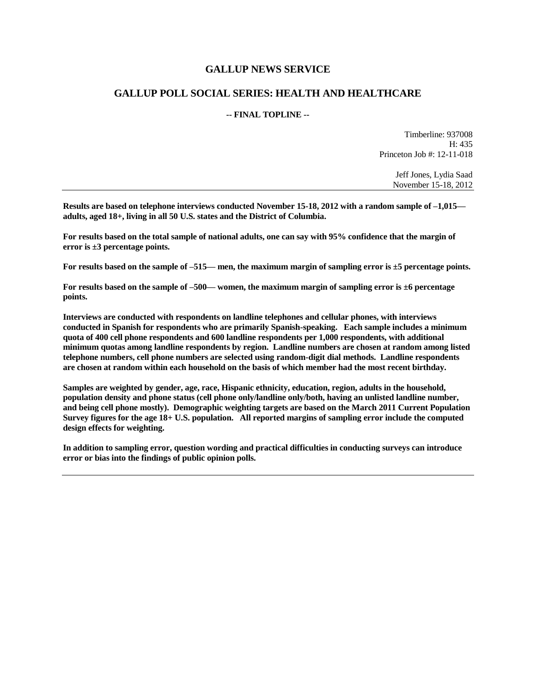### **GALLUP NEWS SERVICE**

### **GALLUP POLL SOCIAL SERIES: HEALTH AND HEALTHCARE**

#### **-- FINAL TOPLINE --**

Timberline: 937008 H: 435 Princeton Job #: 12-11-018

> Jeff Jones, Lydia Saad November 15-18, 2012

**Results are based on telephone interviews conducted November 15-18, 2012 with a random sample of –1,015 adults, aged 18+, living in all 50 U.S. states and the District of Columbia.** 

**For results based on the total sample of national adults, one can say with 95% confidence that the margin of error is ±3 percentage points.**

**For results based on the sample of –515— men, the maximum margin of sampling error is ±5 percentage points.**

**For results based on the sample of –500— women, the maximum margin of sampling error is ±6 percentage points.**

**Interviews are conducted with respondents on landline telephones and cellular phones, with interviews conducted in Spanish for respondents who are primarily Spanish-speaking. Each sample includes a minimum quota of 400 cell phone respondents and 600 landline respondents per 1,000 respondents, with additional minimum quotas among landline respondents by region. Landline numbers are chosen at random among listed telephone numbers, cell phone numbers are selected using random-digit dial methods. Landline respondents are chosen at random within each household on the basis of which member had the most recent birthday.** 

**Samples are weighted by gender, age, race, Hispanic ethnicity, education, region, adults in the household, population density and phone status (cell phone only/landline only/both, having an unlisted landline number, and being cell phone mostly). Demographic weighting targets are based on the March 2011 Current Population Survey figures for the age 18+ U.S. population. All reported margins of sampling error include the computed design effects for weighting.** 

**In addition to sampling error, question wording and practical difficulties in conducting surveys can introduce error or bias into the findings of public opinion polls.**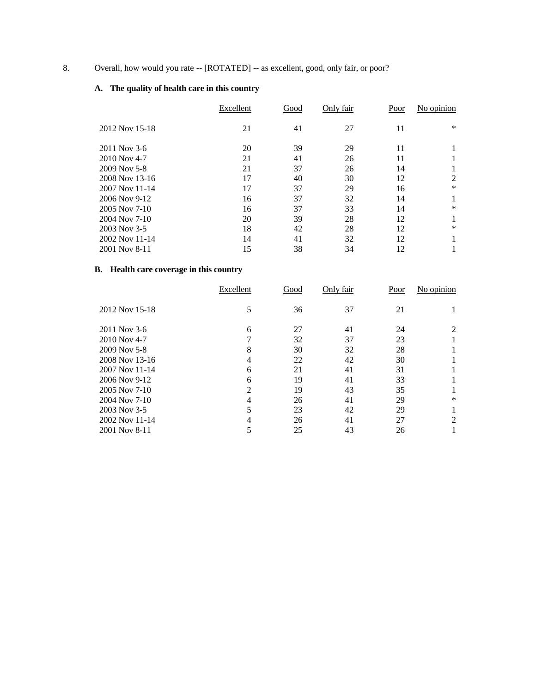# 8. Overall, how would you rate -- [ROTATED] -- as excellent, good, only fair, or poor?

# **A. The quality of health care in this country**

|                | Excellent | Good | Only fair | Poor | No opinion |
|----------------|-----------|------|-----------|------|------------|
| 2012 Nov 15-18 | 21        | 41   | 27        | 11   | $\ast$     |
| 2011 Nov 3-6   | 20        | 39   | 29        | 11   |            |
| 2010 Nov 4-7   | 21        | 41   | 26        | 11   |            |
| 2009 Nov 5-8   | 21        | 37   | 26        | 14   |            |
| 2008 Nov 13-16 | 17        | 40   | 30        | 12   | 2          |
| 2007 Nov 11-14 | 17        | 37   | 29        | 16   | *          |
| 2006 Nov 9-12  | 16        | 37   | 32        | 14   |            |
| 2005 Nov 7-10  | 16        | 37   | 33        | 14   | $\ast$     |
| 2004 Nov 7-10  | 20        | 39   | 28        | 12   |            |
| 2003 Nov 3-5   | 18        | 42   | 28        | 12   | $\ast$     |
| 2002 Nov 11-14 | 14        | 41   | 32        | 12   |            |
| 2001 Nov 8-11  | 15        | 38   | 34        | 12   |            |

# **B. Health care coverage in this country**

|                | Excellent      | Good | Only fair | Poor | No opinion |
|----------------|----------------|------|-----------|------|------------|
| 2012 Nov 15-18 | 5              | 36   | 37        | 21   |            |
| 2011 Nov 3-6   | 6              | 27   | 41        | 24   | 2          |
| 2010 Nov 4-7   |                | 32   | 37        | 23   |            |
| 2009 Nov 5-8   | 8              | 30   | 32        | 28   |            |
| 2008 Nov 13-16 | 4              | 22   | 42        | 30   |            |
| 2007 Nov 11-14 | 6              | 21   | 41        | 31   |            |
| 2006 Nov 9-12  | 6              | 19   | 41        | 33   |            |
| 2005 Nov 7-10  | $\mathfrak{D}$ | 19   | 43        | 35   |            |
| 2004 Nov 7-10  | 4              | 26   | 41        | 29   | $\ast$     |
| 2003 Nov 3-5   | 5              | 23   | 42        | 29   |            |
| 2002 Nov 11-14 | 4              | 26   | 41        | 27   | 2          |
| 2001 Nov 8-11  |                | 25   | 43        | 26   |            |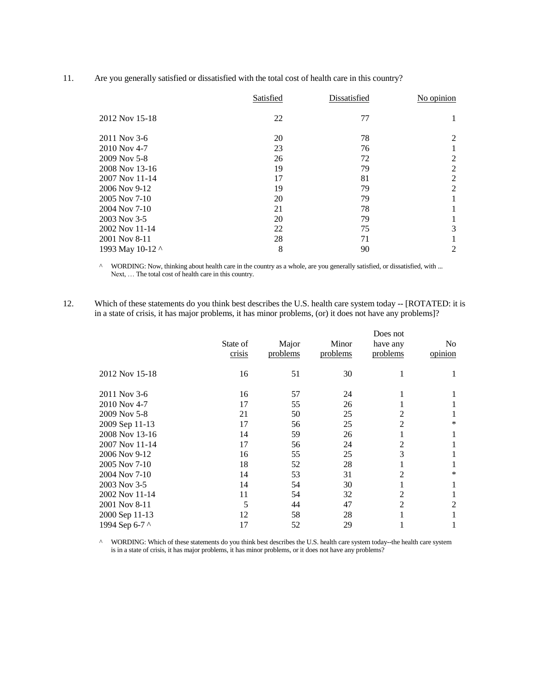11. Are you generally satisfied or dissatisfied with the total cost of health care in this country?

|                  | Satisfied | Dissatisfied | No opinion |
|------------------|-----------|--------------|------------|
| 2012 Nov 15-18   | 22        | 77           |            |
| 2011 Nov 3-6     | 20        | 78           | 2          |
| 2010 Nov 4-7     | 23        | 76           |            |
| 2009 Nov 5-8     | 26        | 72           | 2          |
| 2008 Nov 13-16   | 19        | 79           | 2          |
| 2007 Nov 11-14   | 17        | 81           | 2          |
| 2006 Nov 9-12    | 19        | 79           | 2          |
| 2005 Nov 7-10    | 20        | 79           |            |
| 2004 Nov 7-10    | 21        | 78           |            |
| 2003 Nov 3-5     | 20        | 79           |            |
| 2002 Nov 11-14   | 22        | 75           | 3          |
| 2001 Nov 8-11    | 28        | 71           |            |
| 1993 May 10-12 ^ | 8         | 90           | 2          |

^ WORDING: Now, thinking about health care in the country as a whole, are you generally satisfied, or dissatisfied, with ... Next, … The total cost of health care in this country.

12. Which of these statements do you think best describes the U.S. health care system today -- [ROTATED: it is in a state of crisis, it has major problems, it has minor problems, (or) it does not have any problems]?

|                | State of<br>crisis | Major<br>problems | Minor<br>problems | Does not<br>have any<br>problems | No<br>opinion |
|----------------|--------------------|-------------------|-------------------|----------------------------------|---------------|
| 2012 Nov 15-18 | 16                 | 51                | 30                |                                  |               |
| 2011 Nov 3-6   | 16                 | 57                | 24                |                                  |               |
| 2010 Nov 4-7   | 17                 | 55                | 26                |                                  |               |
| 2009 Nov 5-8   | 21                 | 50                | 25                | 2                                |               |
| 2009 Sep 11-13 | 17                 | 56                | 25                | 2                                | *             |
| 2008 Nov 13-16 | 14                 | 59                | 26                |                                  |               |
| 2007 Nov 11-14 | 17                 | 56                | 24                | 2                                |               |
| 2006 Nov 9-12  | 16                 | 55                | 25                | 3                                |               |
| 2005 Nov 7-10  | 18                 | 52                | 28                |                                  |               |
| 2004 Nov 7-10  | 14                 | 53                | 31                | 2                                | *             |
| 2003 Nov 3-5   | 14                 | 54                | 30                |                                  |               |
| 2002 Nov 11-14 | 11                 | 54                | 32                | 2                                |               |
| 2001 Nov 8-11  | 5                  | 44                | 47                | 2                                | 2             |
| 2000 Sep 11-13 | 12                 | 58                | 28                |                                  |               |
| 1994 Sep 6-7 ^ | 17                 | 52                | 29                |                                  |               |

^ WORDING: Which of these statements do you think best describes the U.S. health care system today--the health care system is in a state of crisis, it has major problems, it has minor problems, or it does not have any problems?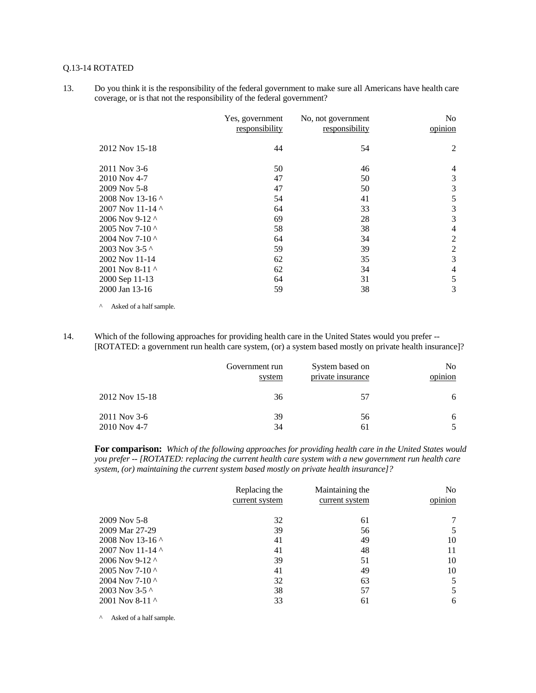#### Q.13-14 ROTATED

13. Do you think it is the responsibility of the federal government to make sure all Americans have health care coverage, or is that not the responsibility of the federal government?

|                          | Yes, government<br>responsibility | No, not government<br>responsibility | N <sub>0</sub><br>opinion |
|--------------------------|-----------------------------------|--------------------------------------|---------------------------|
| 2012 Nov 15-18           | 44                                | 54                                   | 2                         |
| 2011 Nov 3-6             | 50                                | 46                                   | $\overline{4}$            |
| 2010 Nov 4-7             | 47                                | 50                                   | 3                         |
| 2009 Nov 5-8             | 47                                | 50                                   | 3                         |
| 2008 Nov 13-16 $\land$   | 54                                | 41                                   | 5                         |
| 2007 Nov 11-14 $\land$   | 64                                | 33                                   | 3                         |
| 2006 Nov 9-12 ^          | 69                                | 28                                   | 3                         |
| 2005 Nov 7-10 $\land$    | 58                                | 38                                   | $\overline{4}$            |
| 2004 Nov 7-10 $^{\circ}$ | 64                                | 34                                   | 2                         |
| 2003 Nov 3-5 $\lambda$   | 59                                | 39                                   | 2                         |
| 2002 Nov 11-14           | 62                                | 35                                   | 3                         |
| 2001 Nov 8-11 $\sim$     | 62                                | 34                                   | $\overline{4}$            |
| 2000 Sep 11-13           | 64                                | 31                                   | 5                         |
| 2000 Jan 13-16           | 59                                | 38                                   | 3                         |

^ Asked of a half sample.

14. Which of the following approaches for providing health care in the United States would you prefer -- [ROTATED: a government run health care system, (or) a system based mostly on private health insurance]?

|                | Government run | System based on   | N <sub>0</sub> |
|----------------|----------------|-------------------|----------------|
|                | system         | private insurance | opinion        |
| 2012 Nov 15-18 | 36             | 57                |                |
| 2011 Nov 3-6   | 39             | 56                |                |
| 2010 Nov 4-7   | 34             | 61                |                |

**For comparison:** *Which of the following approaches for providing health care in the United States would you prefer -- [ROTATED: replacing the current health care system with a new government run health care system, (or) maintaining the current system based mostly on private health insurance]?*

|                          | Replacing the<br>current system | Maintaining the<br>current system | No<br>opinion |
|--------------------------|---------------------------------|-----------------------------------|---------------|
| 2009 Nov 5-8             | 32                              | 61                                |               |
| 2009 Mar 27-29           | 39                              | 56                                |               |
| 2008 Nov 13-16 $\land$   | 41                              | 49                                | 10            |
| 2007 Nov 11-14 $\land$   | 41                              | 48                                | 11            |
| 2006 Nov 9-12 $\land$    | 39                              | 51                                | 10            |
| 2005 Nov 7-10 $^{\circ}$ | 41                              | 49                                | 10            |
| 2004 Nov 7-10 $^{\circ}$ | 32                              | 63                                | 5             |
| 2003 Nov 3-5 $\sim$      | 38                              | 57                                | 5             |
| 2001 Nov 8-11 $\sim$     | 33                              | 61                                | 6             |

^ Asked of a half sample.